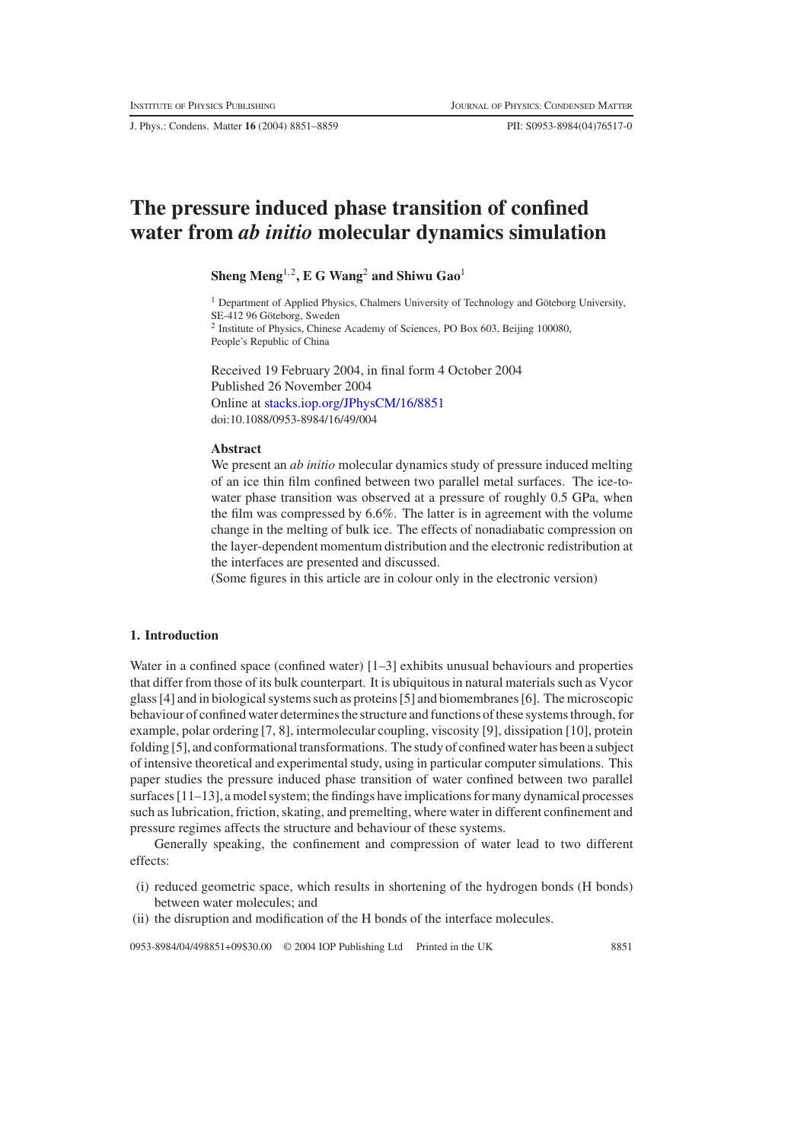J. Phys.: Condens. Matter **16** (2004) 8851–8859 PII: S0953-8984(04)76517-0

# **The pressure induced phase transition of confined water from** *ab initio* **molecular dynamics simulation**

# **Sheng Meng**1,2**, E G Wang**<sup>2</sup> **and Shiwu Gao**<sup>1</sup>

<sup>1</sup> Department of Applied Physics, Chalmers University of Technology and Göteborg University, SE-412 96 Göteborg, Sweden <sup>2</sup> Institute of Physics, Chinese Academy of Sciences, PO Box 603, Beijing 100080, People's Republic of China

Received 19 February 2004, in final form 4 October 2004 Published 26 November 2004 Online at [stacks.iop.org/JPhysCM/16/8851](http://stacks.iop.org/JPhysCM/16/8851) doi:10.1088/0953-8984/16/49/004

#### **Abstract**

We present an *ab initio* molecular dynamics study of pressure induced melting of an ice thin film confined between two parallel metal surfaces. The ice-towater phase transition was observed at a pressure of roughly 0.5 GPa, when the film was compressed by 6.6%. The latter is in agreement with the volume change in the melting of bulk ice. The effects of nonadiabatic compression on the layer-dependent momentum distribution and the electronic redistribution at the interfaces are presented and discussed.

(Some figures in this article are in colour only in the electronic version)

# **1. Introduction**

Water in a confined space (confined water) [1–3] exhibits unusual behaviours and properties that differ from those of its bulk counterpart. It is ubiquitous in natural materials such as Vycor glass [4] and in biological systems such as proteins [5] and biomembranes [6]. The microscopic behaviour of confined water determines the structure and functions of these systems through, for example, polar ordering [7, 8], intermolecular coupling, viscosity [9], dissipation [10], protein folding [5], and conformational transformations. The study of confined water has been a subject of intensive theoretical and experimental study, using in particular computer simulations. This paper studies the pressure induced phase transition of water confined between two parallel surfaces  $[11-13]$ , a model system; the findings have implications for many dynamical processes such as lubrication, friction, skating, and premelting, where water in different confinement and pressure regimes affects the structure and behaviour of these systems.

Generally speaking, the confinement and compression of water lead to two different effects:

- (i) reduced geometric space, which results in shortening of the hydrogen bonds (H bonds) between water molecules; and
- (ii) the disruption and modification of the H bonds of the interface molecules.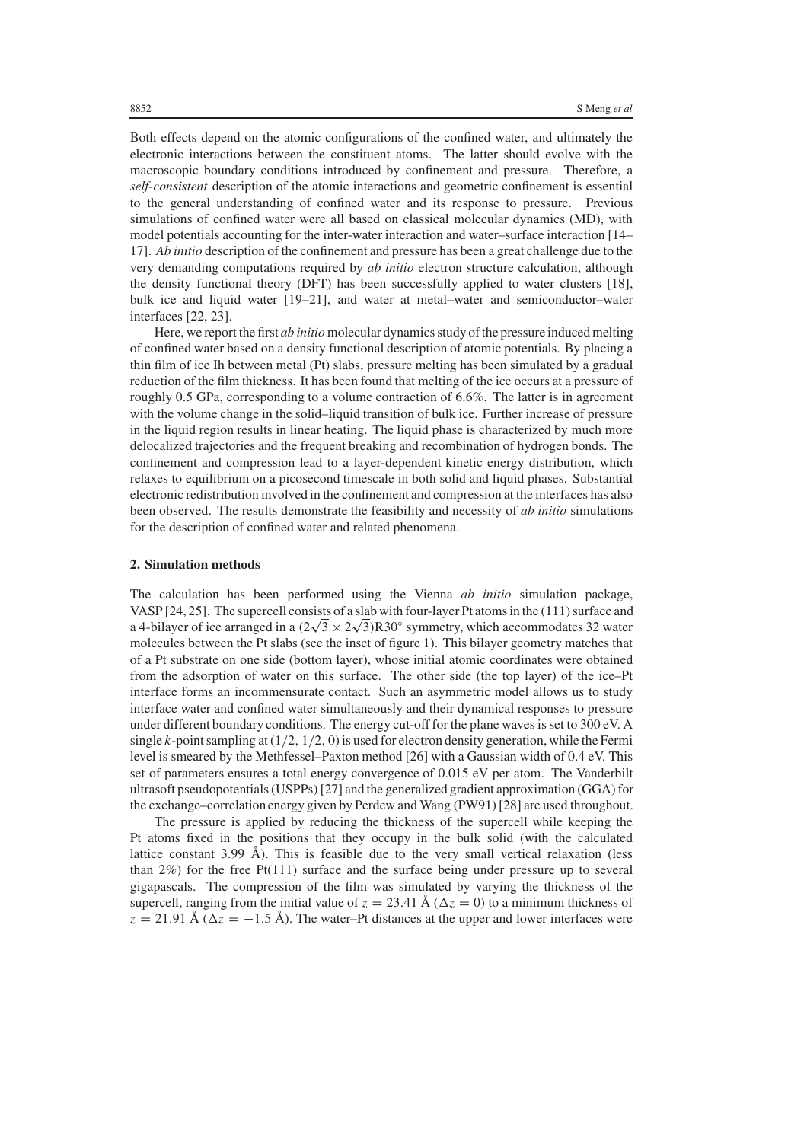Both effects depend on the atomic configurations of the confined water, and ultimately the electronic interactions between the constituent atoms. The latter should evolve with the macroscopic boundary conditions introduced by confinement and pressure. Therefore, a *self-consistent* description of the atomic interactions and geometric confinement is essential to the general understanding of confined water and its response to pressure. Previous simulations of confined water were all based on classical molecular dynamics (MD), with model potentials accounting for the inter-water interaction and water–surface interaction [14– 17]. *Ab initio* description of the confinement and pressure has been a great challenge due to the very demanding computations required by *ab initio* electron structure calculation, although the density functional theory (DFT) has been successfully applied to water clusters [18], bulk ice and liquid water [19–21], and water at metal–water and semiconductor–water interfaces [22, 23].

Here, we report the first *ab initio* molecular dynamics study of the pressure induced melting of confined water based on a density functional description of atomic potentials. By placing a thin film of ice Ih between metal (Pt) slabs, pressure melting has been simulated by a gradual reduction of the film thickness. It has been found that melting of the ice occurs at a pressure of roughly 0.5 GPa, corresponding to a volume contraction of 6.6%. The latter is in agreement with the volume change in the solid–liquid transition of bulk ice. Further increase of pressure in the liquid region results in linear heating. The liquid phase is characterized by much more delocalized trajectories and the frequent breaking and recombination of hydrogen bonds. The confinement and compression lead to a layer-dependent kinetic energy distribution, which relaxes to equilibrium on a picosecond timescale in both solid and liquid phases. Substantial electronic redistribution involved in the confinement and compression at the interfaces has also been observed. The results demonstrate the feasibility and necessity of *ab initio* simulations for the description of confined water and related phenomena.

#### **2. Simulation methods**

The calculation has been performed using the Vienna *ab initio* simulation package, VASP [24, 25]. The supercell consists of a slab with four-layer Pt atoms in the (111) surface and a 4-bilayer of ice arranged in a  $(2\sqrt{3} \times 2\sqrt{3})$ R30<sup>°</sup> symmetry, which accommodates 32 water molecules between the Pt slabs (see the inset of figure 1). This bilayer geometry matches that of a Pt substrate on one side (bottom layer), whose initial atomic coordinates were obtained from the adsorption of water on this surface. The other side (the top layer) of the ice–Pt interface forms an incommensurate contact. Such an asymmetric model allows us to study interface water and confined water simultaneously and their dynamical responses to pressure under different boundary conditions. The energy cut-off for the plane waves is set to 300 eV. A single  $k$ -point sampling at  $(1/2, 1/2, 0)$  is used for electron density generation, while the Fermi level is smeared by the Methfessel–Paxton method [26] with a Gaussian width of 0.4 eV. This set of parameters ensures a total energy convergence of 0.015 eV per atom. The Vanderbilt ultrasoft pseudopotentials (USPPs) [27] and the generalized gradient approximation (GGA) for the exchange–correlation energy given by Perdew and Wang (PW91) [28] are used throughout.

The pressure is applied by reducing the thickness of the supercell while keeping the Pt atoms fixed in the positions that they occupy in the bulk solid (with the calculated lattice constant 3.99 Å). This is feasible due to the very small vertical relaxation (less than 2%) for the free Pt(111) surface and the surface being under pressure up to several gigapascals. The compression of the film was simulated by varying the thickness of the supercell, ranging from the initial value of  $z = 23.41 \text{ Å } (\Delta z = 0)$  to a minimum thickness of  $z = 21.91 \text{ Å } (\Delta z = -1.5 \text{ Å})$ . The water–Pt distances at the upper and lower interfaces were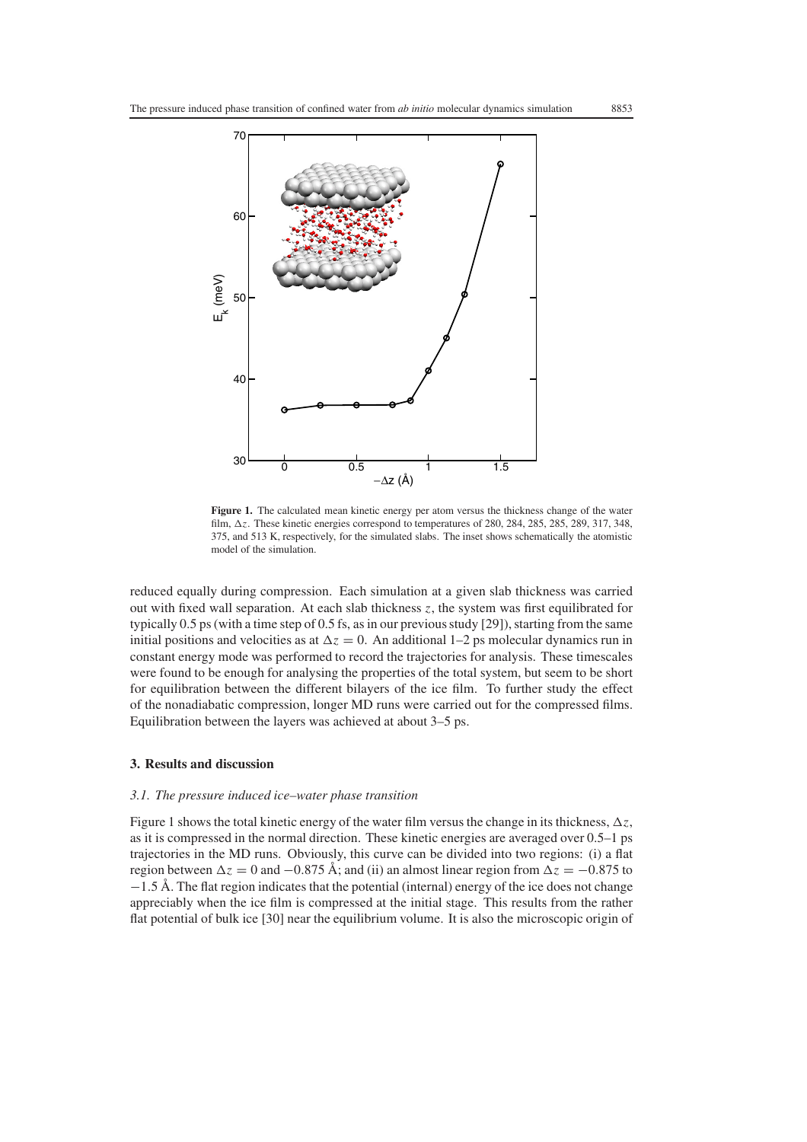

**Figure 1.** The calculated mean kinetic energy per atom versus the thickness change of the water film,  $\Delta z$ . These kinetic energies correspond to temperatures of 280, 284, 285, 285, 289, 317, 348, 375, and 513 K, respectively, for the simulated slabs. The inset shows schematically the atomistic model of the simulation.

reduced equally during compression. Each simulation at a given slab thickness was carried out with fixed wall separation. At each slab thickness *z*, the system was first equilibrated for typically 0.5 ps (with a time step of 0.5 fs, as in our previous study [29]), starting from the same initial positions and velocities as at  $\Delta z = 0$ . An additional 1–2 ps molecular dynamics run in constant energy mode was performed to record the trajectories for analysis. These timescales were found to be enough for analysing the properties of the total system, but seem to be short for equilibration between the different bilayers of the ice film. To further study the effect of the nonadiabatic compression, longer MD runs were carried out for the compressed films. Equilibration between the layers was achieved at about 3–5 ps.

#### **3. Results and discussion**

#### *3.1. The pressure induced ice–water phase transition*

Figure 1 shows the total kinetic energy of the water film versus the change in its thickness,  $\Delta z$ , as it is compressed in the normal direction. These kinetic energies are averaged over 0.5–1 ps trajectories in the MD runs. Obviously, this curve can be divided into two regions: (i) a flat region between  $\Delta z = 0$  and  $-0.875$  Å; and (ii) an almost linear region from  $\Delta z = -0.875$  to −1.5 Å. The flat region indicates that the potential (internal) energy of the ice does not change appreciably when the ice film is compressed at the initial stage. This results from the rather flat potential of bulk ice [30] near the equilibrium volume. It is also the microscopic origin of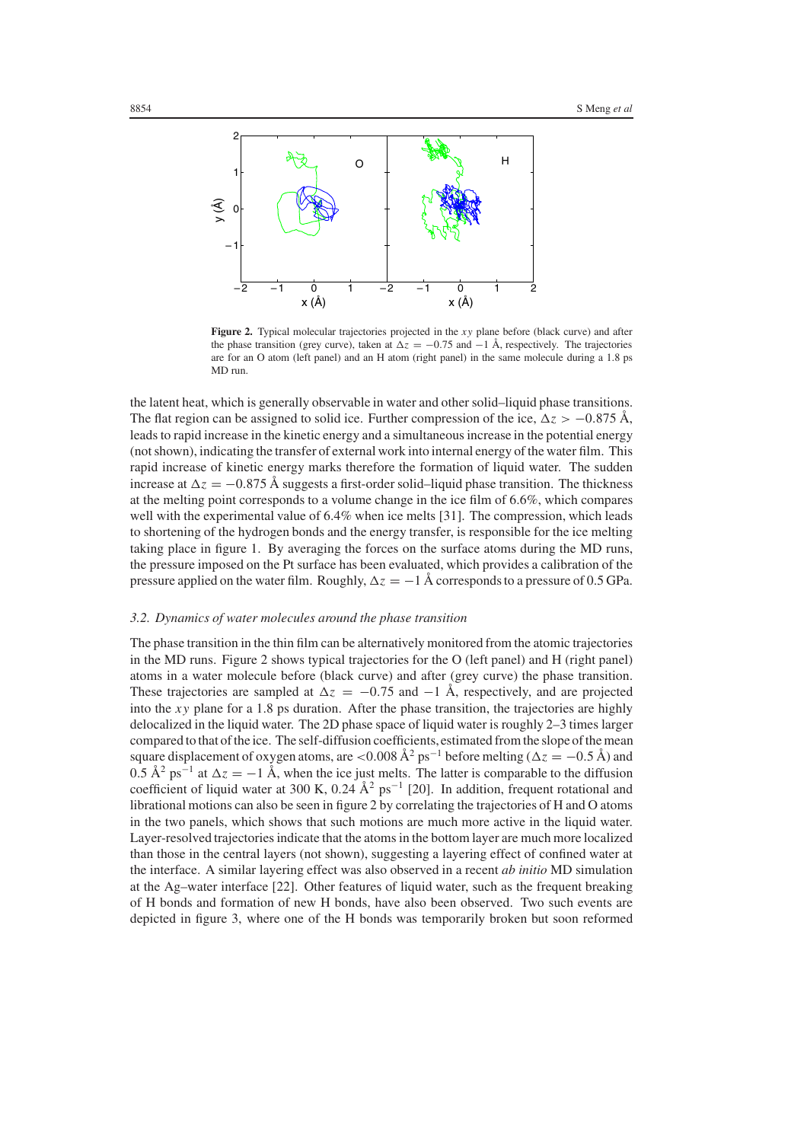

**Figure 2.** Typical molecular trajectories projected in the *xy* plane before (black curve) and after the phase transition (grey curve), taken at  $\Delta z = -0.75$  and  $-1$  Å, respectively. The trajectories are for an O atom (left panel) and an H atom (right panel) in the same molecule during a 1.8 ps MD run.

the latent heat, which is generally observable in water and other solid–liquid phase transitions. The flat region can be assigned to solid ice. Further compression of the ice,  $\Delta z > -0.875 \text{ Å}$ , leads to rapid increase in the kinetic energy and a simultaneous increase in the potential energy (not shown), indicating the transfer of external work into internal energy of the water film. This rapid increase of kinetic energy marks therefore the formation of liquid water. The sudden increase at  $\Delta z = -0.875$  Å suggests a first-order solid–liquid phase transition. The thickness at the melting point corresponds to a volume change in the ice film of 6.6%, which compares well with the experimental value of 6.4% when ice melts [31]. The compression, which leads to shortening of the hydrogen bonds and the energy transfer, is responsible for the ice melting taking place in figure 1. By averaging the forces on the surface atoms during the MD runs, the pressure imposed on the Pt surface has been evaluated, which provides a calibration of the pressure applied on the water film. Roughly,  $\Delta z = -1$  Å corresponds to a pressure of 0.5 GPa.

#### *3.2. Dynamics of water molecules around the phase transition*

The phase transition in the thin film can be alternatively monitored from the atomic trajectories in the MD runs. Figure 2 shows typical trajectories for the O (left panel) and H (right panel) atoms in a water molecule before (black curve) and after (grey curve) the phase transition. These trajectories are sampled at  $\Delta z = -0.75$  and  $-1$  Å, respectively, and are projected into the *xy* plane for a 1.8 ps duration. After the phase transition, the trajectories are highly delocalized in the liquid water. The 2D phase space of liquid water is roughly 2–3 times larger compared to that of the ice. The self-diffusion coefficients,estimated from the slope of the mean square displacement of oxygen atoms, are <0.008 Å<sup>2</sup> ps<sup>-1</sup> before melting ( $\Delta z = -0.5$  Å) and 0.5 Å<sup>2</sup> ps<sup>-1</sup> at  $\Delta z = -1$  Å, when the ice just melts. The latter is comparable to the diffusion coefficient of liquid water at 300 K, 0.24  $\AA^2$  ps<sup>-1</sup> [20]. In addition, frequent rotational and librational motions can also be seen in figure 2 by correlating the trajectories of H and O atoms in the two panels, which shows that such motions are much more active in the liquid water. Layer-resolved trajectories indicate that the atoms in the bottom layer are much more localized than those in the central layers (not shown), suggesting a layering effect of confined water at the interface. A similar layering effect was also observed in a recent *ab initio* MD simulation at the Ag–water interface [22]. Other features of liquid water, such as the frequent breaking of H bonds and formation of new H bonds, have also been observed. Two such events are depicted in figure 3, where one of the H bonds was temporarily broken but soon reformed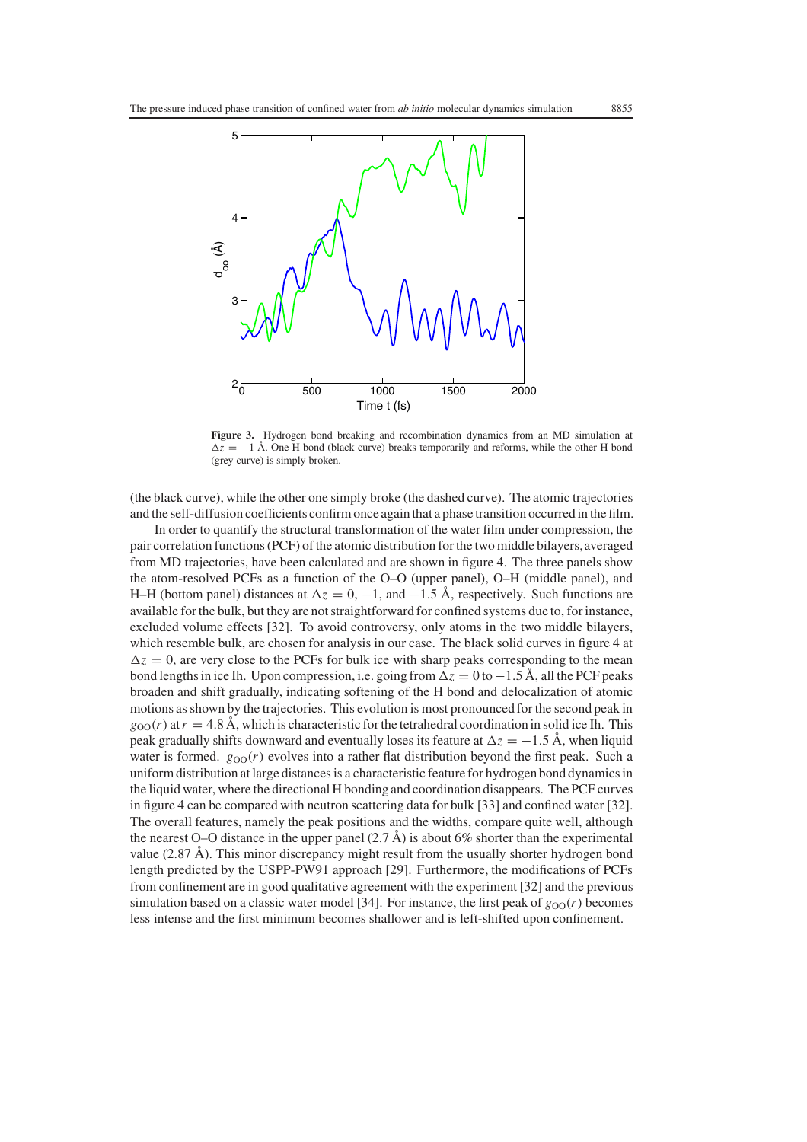

**Figure 3.** Hydrogen bond breaking and recombination dynamics from an MD simulation at  $\Delta z = -1$  Å. One H bond (black curve) breaks temporarily and reforms, while the other H bond (grey curve) is simply broken.

(the black curve), while the other one simply broke (the dashed curve). The atomic trajectories and the self-diffusion coefficients confirm once again that a phase transition occurred in the film.

In order to quantify the structural transformation of the water film under compression, the pair correlation functions (PCF) of the atomic distribution for the two middle bilayers, averaged from MD trajectories, have been calculated and are shown in figure 4. The three panels show the atom-resolved PCFs as a function of the O–O (upper panel), O–H (middle panel), and H–H (bottom panel) distances at  $\Delta z = 0, -1$ , and  $-1.5$  Å, respectively. Such functions are available for the bulk, but they are not straightforward for confined systems due to, for instance, excluded volume effects [32]. To avoid controversy, only atoms in the two middle bilayers, which resemble bulk, are chosen for analysis in our case. The black solid curves in figure 4 at  $\Delta z = 0$ , are very close to the PCFs for bulk ice with sharp peaks corresponding to the mean bond lengths in ice Ih. Upon compression, i.e. going from  $\Delta z = 0$  to  $-1.5$  Å, all the PCF peaks broaden and shift gradually, indicating softening of the H bond and delocalization of atomic motions as shown by the trajectories. This evolution is most pronounced for the second peak in  $g_{OO}(r)$  at  $r = 4.8$  Å, which is characteristic for the tetrahedral coordination in solid ice Ih. This peak gradually shifts downward and eventually loses its feature at  $\Delta z = -1.5 \text{ Å}$ , when liquid water is formed.  $g_{OO}(r)$  evolves into a rather flat distribution beyond the first peak. Such a uniform distribution at large distances is a characteristic feature for hydrogen bond dynamics in the liquid water, where the directional H bonding and coordination disappears. The PCF curves in figure 4 can be compared with neutron scattering data for bulk [33] and confined water [32]. The overall features, namely the peak positions and the widths, compare quite well, although the nearest O–O distance in the upper panel  $(2.7 \text{ Å})$  is about 6% shorter than the experimental value (2.87 Å). This minor discrepancy might result from the usually shorter hydrogen bond length predicted by the USPP-PW91 approach [29]. Furthermore, the modifications of PCFs from confinement are in good qualitative agreement with the experiment [32] and the previous simulation based on a classic water model [34]. For instance, the first peak of  $g_{OO}(r)$  becomes less intense and the first minimum becomes shallower and is left-shifted upon confinement.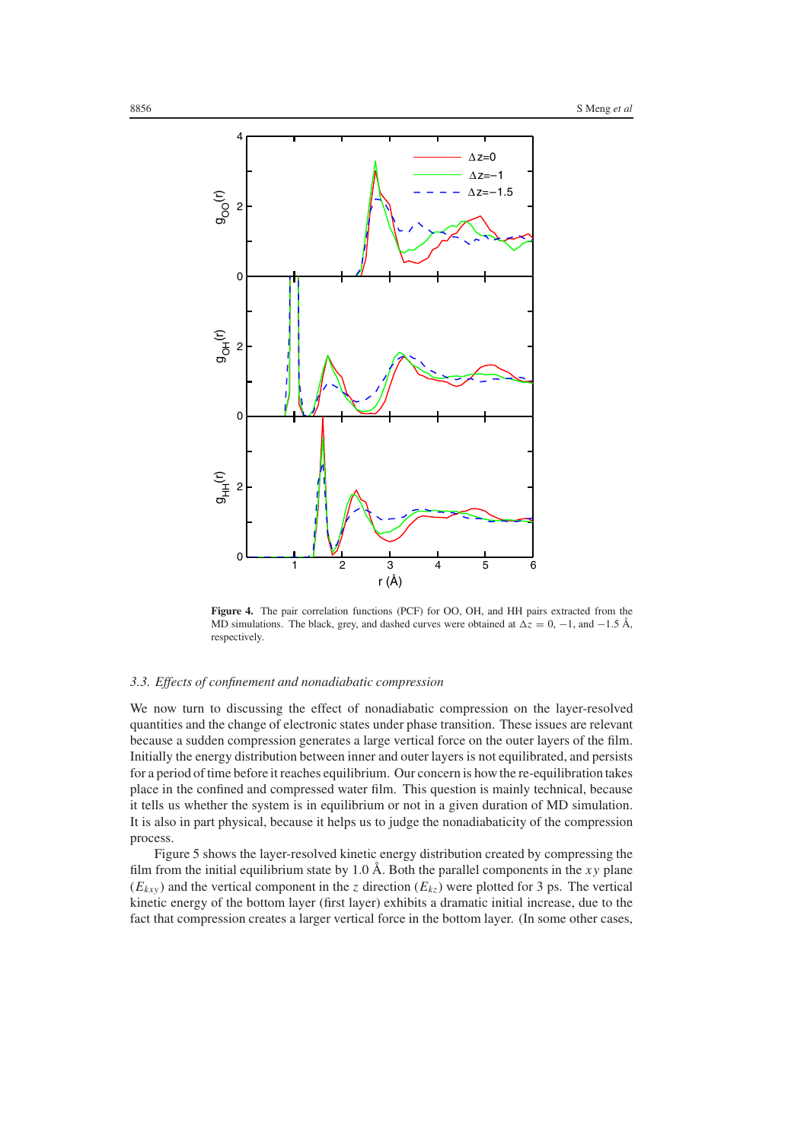

**Figure 4.** The pair correlation functions (PCF) for OO, OH, and HH pairs extracted from the MD simulations. The black, grey, and dashed curves were obtained at  $\Delta z = 0$ , −1, and −1.5 Å, respectively.

# *3.3. Effects of confinement and nonadiabatic compression*

We now turn to discussing the effect of nonadiabatic compression on the layer-resolved quantities and the change of electronic states under phase transition. These issues are relevant because a sudden compression generates a large vertical force on the outer layers of the film. Initially the energy distribution between inner and outer layers is not equilibrated, and persists for a period of time before it reaches equilibrium. Our concern is how the re-equilibration takes place in the confined and compressed water film. This question is mainly technical, because it tells us whether the system is in equilibrium or not in a given duration of MD simulation. It is also in part physical, because it helps us to judge the nonadiabaticity of the compression process.

Figure 5 shows the layer-resolved kinetic energy distribution created by compressing the film from the initial equilibrium state by 1.0 Å. Both the parallel components in the *xy* plane  $(E_{kxy})$  and the vertical component in the *z* direction  $(E_{kz})$  were plotted for 3 ps. The vertical kinetic energy of the bottom layer (first layer) exhibits a dramatic initial increase, due to the fact that compression creates a larger vertical force in the bottom layer. (In some other cases,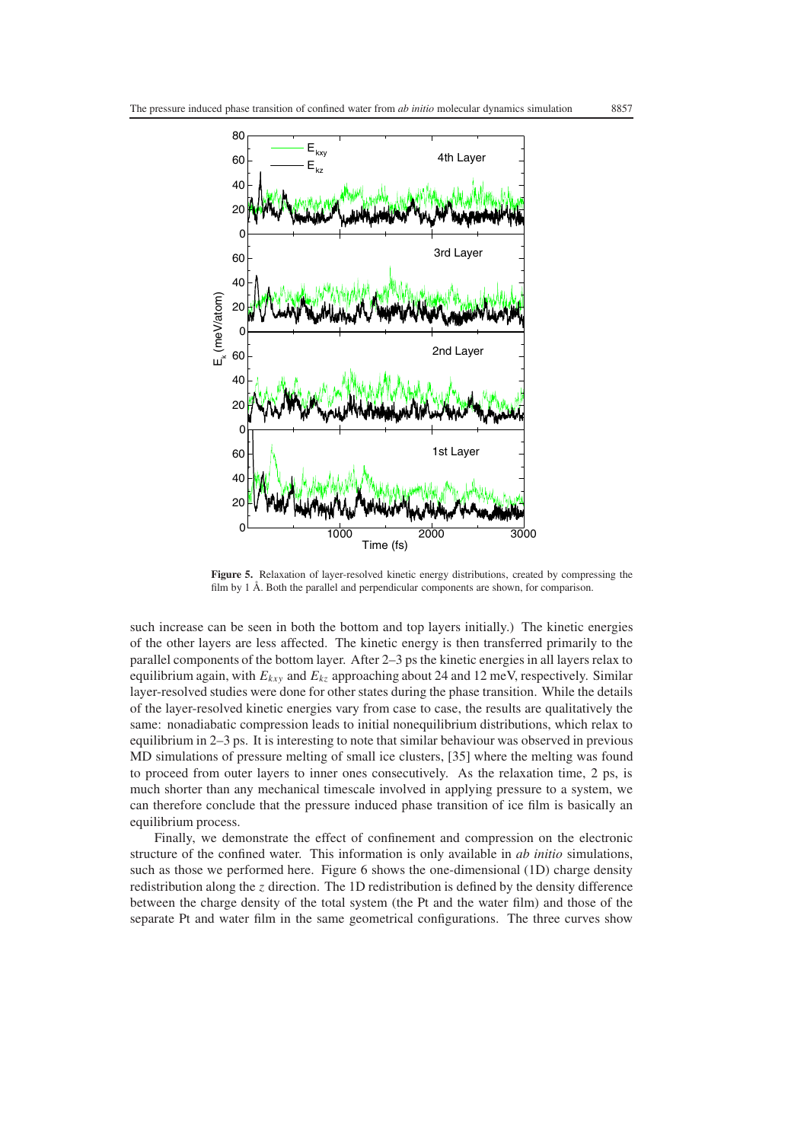

**Figure 5.** Relaxation of layer-resolved kinetic energy distributions, created by compressing the film by 1 Å. Both the parallel and perpendicular components are shown, for comparison.

such increase can be seen in both the bottom and top layers initially.) The kinetic energies of the other layers are less affected. The kinetic energy is then transferred primarily to the parallel components of the bottom layer. After 2–3 ps the kinetic energies in all layers relax to equilibrium again, with  $E_{kxy}$  and  $E_{kz}$  approaching about 24 and 12 meV, respectively. Similar layer-resolved studies were done for other states during the phase transition. While the details of the layer-resolved kinetic energies vary from case to case, the results are qualitatively the same: nonadiabatic compression leads to initial nonequilibrium distributions, which relax to equilibrium in 2–3 ps. It is interesting to note that similar behaviour was observed in previous MD simulations of pressure melting of small ice clusters, [35] where the melting was found to proceed from outer layers to inner ones consecutively. As the relaxation time, 2 ps, is much shorter than any mechanical timescale involved in applying pressure to a system, we can therefore conclude that the pressure induced phase transition of ice film is basically an equilibrium process.

Finally, we demonstrate the effect of confinement and compression on the electronic structure of the confined water. This information is only available in *ab initio* simulations, such as those we performed here. Figure 6 shows the one-dimensional (1D) charge density redistribution along the *z* direction. The 1D redistribution is defined by the density difference between the charge density of the total system (the Pt and the water film) and those of the separate Pt and water film in the same geometrical configurations. The three curves show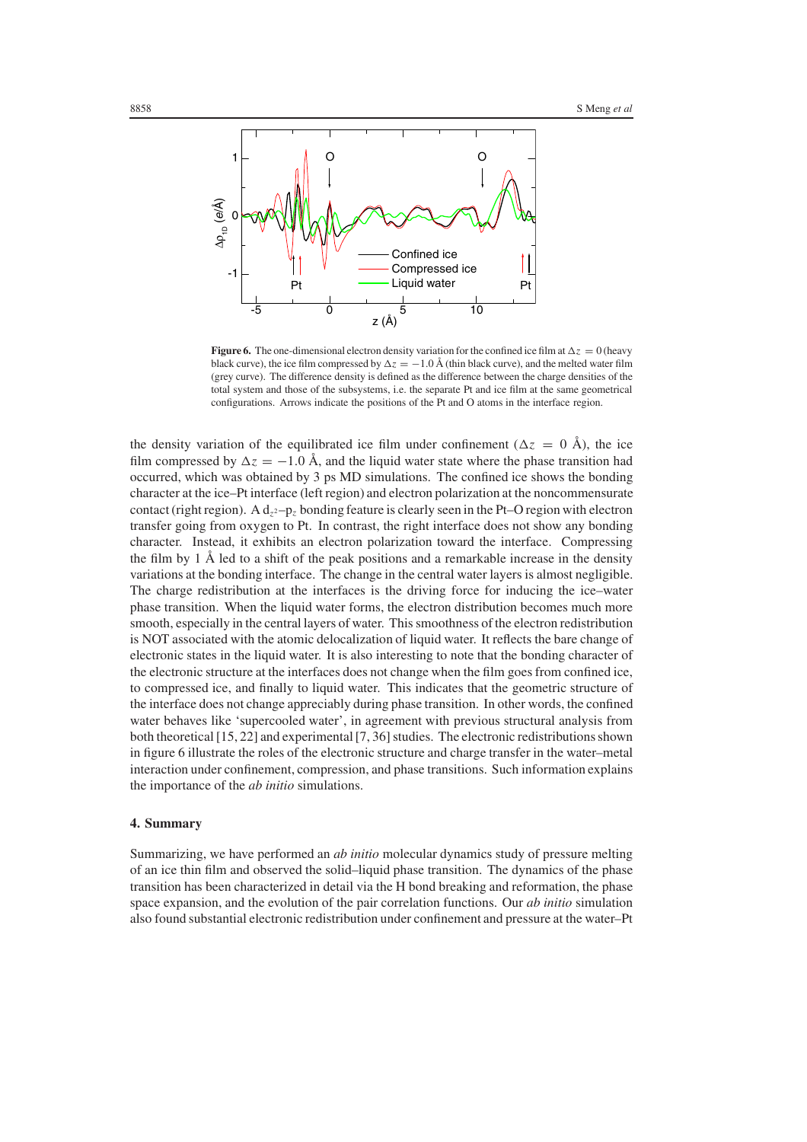

**Figure 6.** The one-dimensional electron density variation for the confined ice film at  $\Delta z = 0$  (heavy black curve), the ice film compressed by  $\Delta z = -1.0 \text{ Å}$  (thin black curve), and the melted water film (grey curve). The difference density is defined as the difference between the charge densities of the total system and those of the subsystems, i.e. the separate Pt and ice film at the same geometrical configurations. Arrows indicate the positions of the Pt and O atoms in the interface region.

the density variation of the equilibrated ice film under confinement ( $\Delta z = 0$  Å), the ice film compressed by  $\Delta z = -1.0$  Å, and the liquid water state where the phase transition had occurred, which was obtained by 3 ps MD simulations. The confined ice shows the bonding character at the ice–Pt interface (left region) and electron polarization at the noncommensurate contact (right region). A  $d_{z^2}$ -p<sub>z</sub> bonding feature is clearly seen in the Pt–O region with electron transfer going from oxygen to Pt. In contrast, the right interface does not show any bonding character. Instead, it exhibits an electron polarization toward the interface. Compressing the film by 1 Å led to a shift of the peak positions and a remarkable increase in the density variations at the bonding interface. The change in the central water layers is almost negligible. The charge redistribution at the interfaces is the driving force for inducing the ice–water phase transition. When the liquid water forms, the electron distribution becomes much more smooth, especially in the central layers of water. This smoothness of the electron redistribution is NOT associated with the atomic delocalization of liquid water. It reflects the bare change of electronic states in the liquid water. It is also interesting to note that the bonding character of the electronic structure at the interfaces does not change when the film goes from confined ice, to compressed ice, and finally to liquid water. This indicates that the geometric structure of the interface does not change appreciably during phase transition. In other words, the confined water behaves like 'supercooled water', in agreement with previous structural analysis from both theoretical [15, 22] and experimental [7, 36] studies. The electronic redistributions shown in figure 6 illustrate the roles of the electronic structure and charge transfer in the water–metal interaction under confinement, compression, and phase transitions. Such information explains the importance of the *ab initio* simulations.

### **4. Summary**

Summarizing, we have performed an *ab initio* molecular dynamics study of pressure melting of an ice thin film and observed the solid–liquid phase transition. The dynamics of the phase transition has been characterized in detail via the H bond breaking and reformation, the phase space expansion, and the evolution of the pair correlation functions. Our *ab initio* simulation also found substantial electronic redistribution under confinement and pressure at the water–Pt